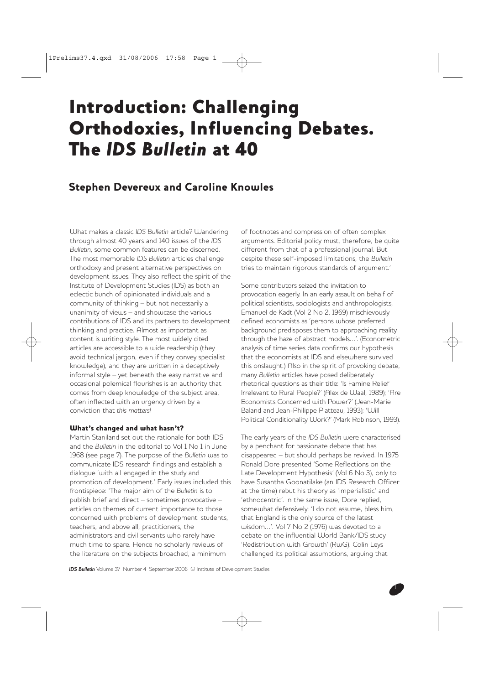# Introduction: Challenging Orthodoxies, Influencing Debates. The *IDS Bulletin* at 40

# Stephen Devereux and Caroline Knowles

What makes a classic *IDS Bulletin* article? Wandering through almost 40 years and 140 issues of the *IDS Bulletin*, some common features can be discerned. The most memorable *IDS Bulletin* articles challenge orthodoxy and present alternative perspectives on development issues. They also reflect the spirit of the Institute of Development Studies (IDS) as both an eclectic bunch of opinionated individuals and a community of thinking – but not necessarily a unanimity of views – and showcase the various contributions of IDS and its partners to development thinking and practice. Almost as important as content is writing style. The most widely cited articles are accessible to a wide readership (they avoid technical jargon, even if they convey specialist knowledge), and they are written in a deceptively informal style – yet beneath the easy narrative and occasional polemical flourishes is an authority that comes from deep knowledge of the subject area, often inflected with an urgency driven by a conviction that *this matters!*

#### What's changed and what hasn't?

Martin Staniland set out the rationale for both IDS and the *Bulletin* in the editorial to Vol 1 No 1 in June 1968 (see page 7). The purpose of the *Bulletin* was to communicate IDS research findings and establish a dialogue 'with all engaged in the study and promotion of development.' Early issues included this frontispiece: 'The major aim of the *Bulletin* is to publish brief and direct – sometimes provocative – articles on themes of current importance to those concerned with problems of development: students, teachers, and above all, practitioners, the administrators and civil servants who rarely have much time to spare. Hence no scholarly reviews of the literature on the subjects broached, a minimum

of footnotes and compression of often complex arguments. Editorial policy must, therefore, be quite different from that of a professional journal. But despite these self-imposed limitations, the *Bulletin* tries to maintain rigorous standards of argument.'

Some contributors seized the invitation to provocation eagerly. In an early assault on behalf of political scientists, sociologists and anthropologists, Emanuel de Kadt (Vol 2 No 2, 1969) mischievously defined economists as 'persons whose preferred background predisposes them to approaching reality through the haze of abstract models…'. (Econometric analysis of time series data confirms our hypothesis that the economists at IDS and elsewhere survived this onslaught.) Also in the spirit of provoking debate, many *Bulletin* articles have posed deliberately rhetorical questions as their title: 'Is Famine Relief Irrelevant to Rural People?' (Alex de Waal, 1989); 'Are Economists Concerned with Power?' (Jean-Marie Baland and Jean-Philippe Platteau, 1993); 'Will Political Conditionality Work?' (Mark Robinson, 1993).

The early years of the *IDS Bulletin* were characterised by a penchant for passionate debate that has disappeared – but should perhaps be revived. In 1975 Ronald Dore presented 'Some Reflections on the Late Development Hypothesis' (Vol 6 No 3), only to have Susantha Goonatilake (an IDS Research Officer at the time) rebut his theory as 'imperialistic' and 'ethnocentric'. In the same issue, Dore replied, somewhat defensively: 'I do not assume, bless him, that England is the only source of the latest wisdom…'. Vol 7 No 2 (1976) was devoted to a debate on the influential World Bank/IDS study 'Redistribution with Growth' (RwG). Colin Leys challenged its political assumptions, arguing that

*IDS Bulletin* Volume 37 Number 4 September 2006 © Institute of Development Studies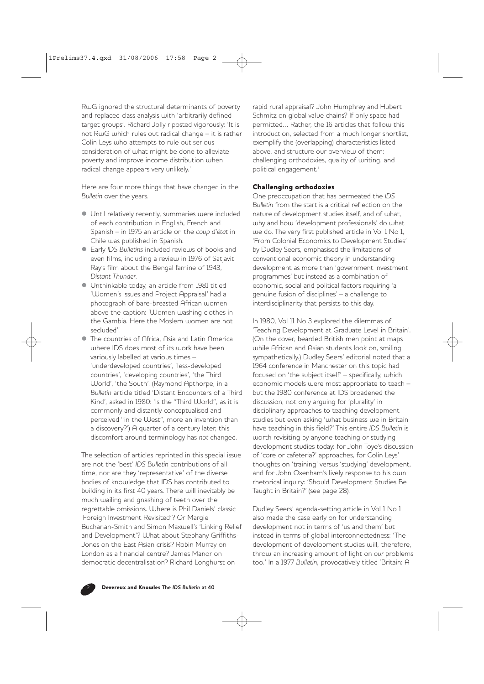RwG ignored the structural determinants of poverty and replaced class analysis with 'arbitrarily defined target groups'. Richard Jolly riposted vigorously: 'It is not RwG which rules out radical change – it is rather Colin Leys who attempts to rule out serious consideration of what might be done to alleviate poverty and improve income distribution when radical change appears very unlikely.'

Here are four more things that have changed in the *Bulletin* over the years.

- $\bullet$  Until relatively recently, summaries were included of each contribution in English, French and Spanish – in 1975 an article on the *coup d'état* in Chile was published in Spanish.
- z Early *IDS Bulletins* included reviews of books and even films, including a review in 1976 of Satjavit Ray's film about the Bengal famine of 1943, *Distant Thunder*.
- $\bullet$  Unthinkable today, an article from 1981 titled 'Women's Issues and Project Appraisal' had a photograph of bare-breasted African women above the caption: 'Women washing clothes in the Gambia. Here the Moslem women are not secluded'!
- The countries of Africa, Asia and Latin America where IDS does most of its work have been variously labelled at various times – 'underdeveloped countries', 'less-developed countries', 'developing countries', 'the Third World', 'the South'. (Raymond Apthorpe, in a *Bulletin* article titled 'Distant Encounters of a Third Kind', asked in 1980: 'Is the "Third World", as it is commonly and distantly conceptualised and perceived "in the West", more an invention than a discovery?') A quarter of a century later, this discomfort around terminology has *not* changed.

The selection of articles reprinted in this special issue are not the 'best' *IDS Bulletin* contributions of all time, nor are they 'representative' of the diverse bodies of knowledge that IDS has contributed to building in its first 40 years. There will inevitably be much wailing and gnashing of teeth over the regrettable omissions. Where is Phil Daniels' classic 'Foreign Investment Revisited'? Or Margie Buchanan-Smith and Simon Maxwell's 'Linking Relief and Development'? What about Stephany Griffiths-Jones on the East Asian crisis? Robin Murray on London as a financial centre? James Manor on democratic decentralisation? Richard Longhurst on

rapid rural appraisal? John Humphrey and Hubert Schmitz on global value chains? If only space had permitted… Rather, the 16 articles that follow this introduction, selected from a much longer shortlist, exemplify the (overlapping) characteristics listed above, and structure our overview of them: challenging orthodoxies, quality of writing, and political engagement.<sup>1</sup>

### Challenging orthodoxies

One preoccupation that has permeated the *IDS Bulletin* from the start is a critical reflection on the nature of development studies itself, and of what, why and how 'development professionals' do what we do. The very first published article in Vol 1 No 1, 'From Colonial Economics to Development Studies' by Dudley Seers, emphasised the limitations of conventional economic theory in understanding development as more than 'government investment programmes' but instead as a combination of economic, social and political factors requiring 'a genuine fusion of disciplines' – a challenge to interdisciplinarity that persists to this day.

In 1980, Vol 11 No 3 explored the dilemmas of 'Teaching Development at Graduate Level in Britain'. (On the cover, bearded British men point at maps while African and Asian students look on, smiling sympathetically.) Dudley Seers' editorial noted that a 1964 conference in Manchester on this topic had focused on 'the subject itself' – specifically, which economic models were most appropriate to teach – but the 1980 conference at IDS broadened the discussion, not only arguing for 'plurality' in disciplinary approaches to teaching development studies but even asking 'what business we in Britain have teaching in this field?' This entire *IDS Bulletin* is worth revisiting by anyone teaching or studying development studies today: for John Toye's discussion of 'core or cafeteria?' approaches, for Colin Leys' thoughts on 'training' versus 'studying' development, and for John Oxenham's lively response to his own rhetorical inquiry: 'Should Development Studies Be Taught in Britain?' (see page 28).

Dudley Seers' agenda-setting article in Vol 1 No 1 also made the case early on for understanding development not in terms of 'us and them' but instead in terms of global interconnectedness: 'The development of development studies will, therefore, throw an increasing amount of light on *our* problems too.' In a 1977 *Bulletin*, provocatively titled 'Britain: A

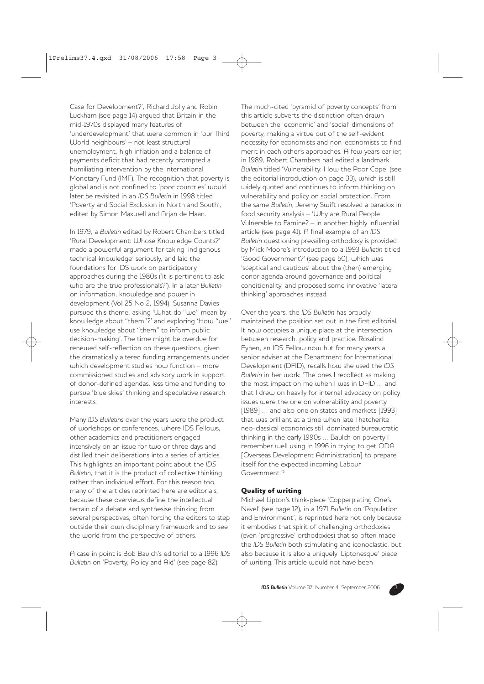Case for Development?', Richard Jolly and Robin Luckham (see page 14) argued that Britain in the mid-1970s displayed many features of 'underdevelopment' that were common in 'our Third World neighbours' – not least structural unemployment, high inflation and a balance of payments deficit that had recently prompted a humiliating intervention by the International Monetary Fund (IMF). The recognition that poverty is global and is not confined to 'poor countries' would later be revisited in an *IDS Bulletin* in 1998 titled 'Poverty and Social Exclusion in North and South', edited by Simon Maxwell and Arjan de Haan.

In 1979, a *Bulletin* edited by Robert Chambers titled 'Rural Development: Whose Knowledge Counts?' made a powerful argument for taking 'indigenous technical knowledge' seriously, and laid the foundations for IDS work on participatory approaches during the 1980s ('it is pertinent to ask: who are the true professionals?'). In a later *Bulletin* on information, knowledge and power in development (Vol 25 No 2, 1994), Susanna Davies pursued this theme, asking 'What do "we" mean by knowledge about "them"?' and exploring 'How "we" use knowledge about "them" to inform public decision-making'. The time might be overdue for renewed self-reflection on these questions, given the dramatically altered funding arrangements under which development studies now function – more commissioned studies and advisory work in support of donor-defined agendas, less time and funding to pursue 'blue skies' thinking and speculative research interests.

Many *IDS Bulletins* over the years were the product of workshops or conferences, where IDS Fellows, other academics and practitioners engaged intensively on an issue for two or three days and distilled their deliberations into a series of articles. This highlights an important point about the *IDS Bulletin*, that it is the product of collective thinking rather than individual effort. For this reason too, many of the articles reprinted here are editorials, because these overviews define the intellectual terrain of a debate and synthesise thinking from several perspectives, often forcing the editors to step outside their own disciplinary framework and to see the world from the perspective of others.

A case in point is Bob Baulch's editorial to a 1996 *IDS Bulletin* on 'Poverty, Policy and Aid' (see page 82).

The much-cited 'pyramid of poverty concepts' from this article subverts the distinction often drawn between the 'economic' and 'social' dimensions of poverty, making a virtue out of the self-evident necessity for economists and non-economists to find merit in each other's approaches. A few years earlier, in 1989, Robert Chambers had edited a landmark *Bulletin* titled 'Vulnerability: How the Poor Cope' (see the editorial introduction on page 33), which is still widely quoted and continues to inform thinking on vulnerability and policy on social protection. From the same *Bulletin*, Jeremy Swift resolved a paradox in food security analysis – 'Why are Rural People Vulnerable to Famine? – in another highly influential article (see page 41). A final example of an *IDS Bulletin* questioning prevailing orthodoxy is provided by Mick Moore's introduction to a 1993 *Bulletin* titled 'Good Government?' (see page 50), which was 'sceptical and cautious' about the (then) emerging donor agenda around governance and political conditionality, and proposed some innovative 'lateral thinking' approaches instead.

Over the years, the *IDS Bulletin* has proudly maintained the position set out in the first editorial. It now occupies a unique place at the intersection between research, policy and practice. Rosalind Eyben, an IDS Fellow now but for many years a senior adviser at the Department for International Development (DFID), recalls how she used the *IDS Bulletin* in her work: 'The ones I recollect as making the most impact on me when I was in DFID … and that I drew on heavily for internal advocacy on policy issues were the one on vulnerability and poverty [1989] ... and also one on states and markets [1993] that was brilliant at a time when late Thatcherite neo-classical economics still dominated bureaucratic thinking in the early 1990s … Baulch on poverty I remember well using in 1996 in trying to get ODA [Overseas Development Administration] to prepare itself for the expected incoming Labour Government.'2

#### Quality of writing

Michael Lipton's think-piece 'Copperplating One's Navel' (see page 12), in a 1971 *Bulletin* on 'Population and Environment', is reprinted here not only because it embodies that spirit of challenging orthodoxies (even 'progressive' orthodoxies) that so often made the *IDS Bulletin* both stimulating and iconoclastic, but also because it is also a uniquely 'Liptonesque' piece of writing. This article would not have been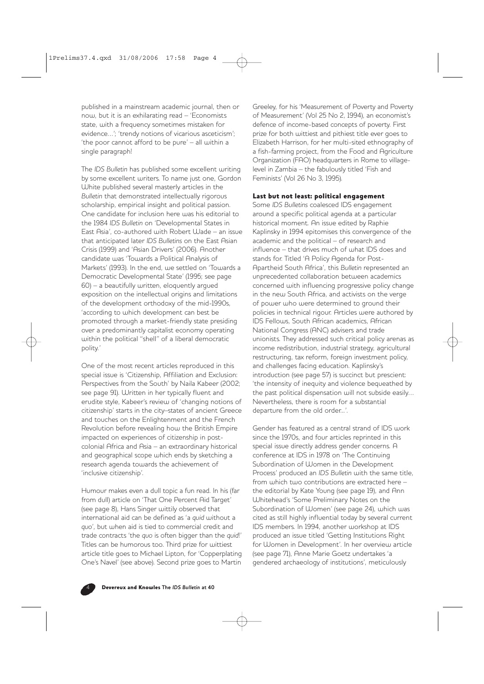published in a mainstream academic journal, then or now, but it is an exhilarating read – 'Economists state, with a frequency sometimes mistaken for evidence…'; 'trendy notions of vicarious asceticism'; 'the poor cannot afford to be pure' – all within a single paragraph!

The *IDS Bulletin* has published some excellent writing by some excellent writers. To name just one, Gordon White published several masterly articles in the *Bulletin* that demonstrated intellectually rigorous scholarship, empirical insight and political passion. One candidate for inclusion here was his editorial to the 1984 *IDS Bulletin* on 'Developmental States in East Asia', co-authored with Robert Wade – an issue that anticipated later *IDS Bulletins* on the East Asian Crisis (1999) and 'Asian Drivers' (2006). Another candidate was 'Towards a Political Analysis of Markets' (1993). In the end, we settled on 'Towards a Democratic Developmental State' (1995; see page 60) – a beautifully written, eloquently argued exposition on the intellectual origins and limitations of the development orthodoxy of the mid-1990s, 'according to which development can best be promoted through a market-friendly state presiding over a predominantly capitalist economy operating within the political "shell" of a liberal democratic polity.'

One of the most recent articles reproduced in this special issue is 'Citizenship, Affiliation and Exclusion: Perspectives from the South' by Naila Kabeer (2002; see page 91). Written in her typically fluent and erudite style, Kabeer's review of 'changing notions of citizenship' starts in the city–states of ancient Greece and touches on the Enlightenment and the French Revolution before revealing how the British Empire impacted on experiences of citizenship in postcolonial Africa and Asia – an extraordinary historical and geographical scope which ends by sketching a research agenda towards the achievement of 'inclusive citizenship'.

Humour makes even a dull topic a fun read. In his (far from dull) article on 'That One Percent Aid Target' (see page 8), Hans Singer wittily observed that international aid can be defined as 'a *quid* without a *quo*', but when aid is tied to commercial credit and trade contracts 'the *quo* is often bigger than the *quid*!' Titles can be humorous too. Third prize for wittiest article title goes to Michael Lipton, for 'Copperplating One's Navel' (see above). Second prize goes to Martin Greeley, for his 'Measurement of Poverty and Poverty of Measurement' (Vol 25 No 2, 1994), an economist's defence of income-based concepts of poverty. First prize for both wittiest and pithiest title ever goes to Elizabeth Harrison, for her multi-sited ethnography of a fish-farming project, from the Food and Agriculture Organization (FAO) headquarters in Rome to villagelevel in Zambia – the fabulously titled 'Fish and Feminists' (Vol 26 No 3, 1995).

## Last but not least: political engagement

Some *IDS Bulletins* coalesced IDS engagement around a specific political agenda at a particular historical moment. An issue edited by Raphie Kaplinsky in 1994 epitomises this convergence of the academic and the political – of research and influence – that drives much of what IDS does and stands for. Titled 'A Policy Agenda for Post-Apartheid South Africa', this *Bulletin* represented an unprecedented collaboration between academics concerned with influencing progressive policy change in the new South Africa, and activists on the verge of power who were determined to ground their policies in technical rigour. Articles were authored by IDS Fellows, South African academics, African National Congress (ANC) advisers and trade unionists. They addressed such critical policy arenas as income redistribution, industrial strategy, agricultural restructuring, tax reform, foreign investment policy, and challenges facing education. Kaplinsky's introduction (see page 57) is succinct but prescient: 'the intensity of inequity and violence bequeathed by the past political dispensation will not subside easily… Nevertheless, there is room for a substantial departure from the old order...'.

Gender has featured as a central strand of IDS work since the 1970s, and four articles reprinted in this special issue directly address gender concerns. A conference at IDS in 1978 on 'The Continuing Subordination of Women in the Development Process' produced an *IDS Bulletin* with the same title, from which two contributions are extracted here – the editorial by Kate Young (see page 19), and Ann Whitehead's 'Some Preliminary Notes on the Subordination of Women' (see page 24), which was cited as still highly influential today by several current IDS members. In 1994, another workshop at IDS produced an issue titled 'Getting Institutions Right for Women in Development'. In her overview article (see page 71), Anne Marie Goetz undertakes 'a gendered archaeology of institutions', meticulously